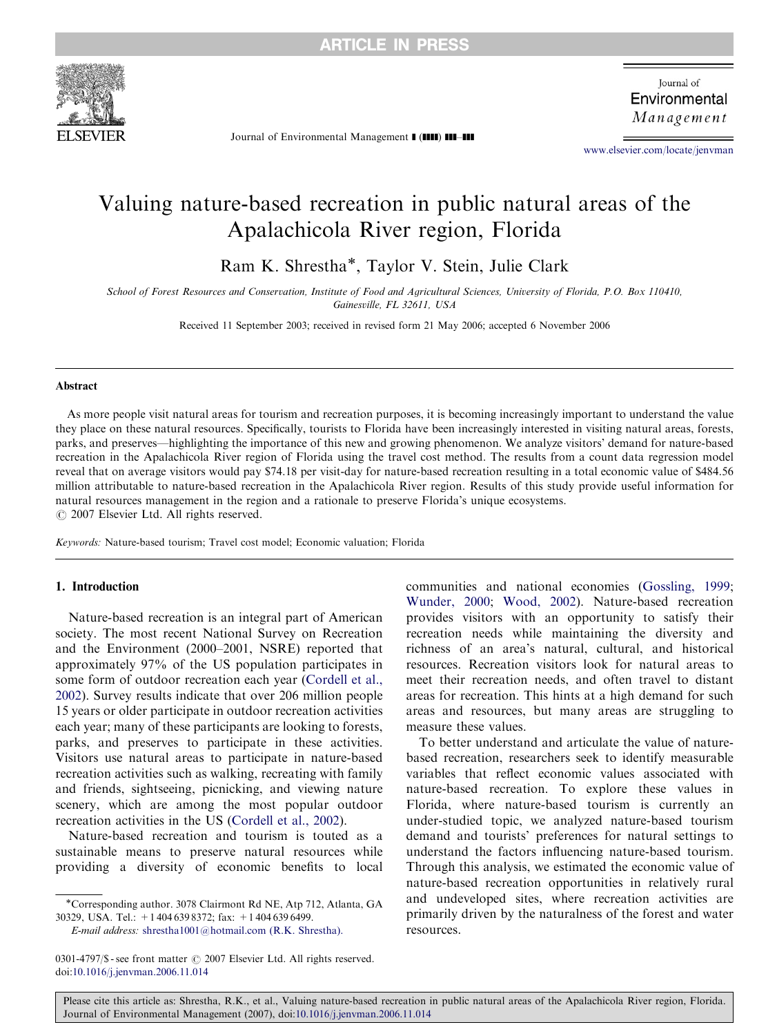

Journal of Environmental Management  $\blacksquare$  (IIII) III-III

Journal of Environmental Management

<www.elsevier.com/locate/jenvman>

# Valuing nature-based recreation in public natural areas of the Apalachicola River region, Florida

Ram K. Shrestha<sup>\*</sup>, Taylor V. Stein, Julie Clark

School of Forest Resources and Conservation, Institute of Food and Agricultural Sciences, University of Florida, P.O. Box 110410, Gainesville, FL 32611, USA

Received 11 September 2003; received in revised form 21 May 2006; accepted 6 November 2006

#### Abstract

As more people visit natural areas for tourism and recreation purposes, it is becoming increasingly important to understand the value they place on these natural resources. Specifically, tourists to Florida have been increasingly interested in visiting natural areas, forests, parks, and preserves—highlighting the importance of this new and growing phenomenon. We analyze visitors' demand for nature-based recreation in the Apalachicola River region of Florida using the travel cost method. The results from a count data regression model reveal that on average visitors would pay \$74.18 per visit-day for nature-based recreation resulting in a total economic value of \$484.56 million attributable to nature-based recreation in the Apalachicola River region. Results of this study provide useful information for natural resources management in the region and a rationale to preserve Florida's unique ecosystems.  $C$  2007 Elsevier Ltd. All rights reserved.

Keywords: Nature-based tourism; Travel cost model; Economic valuation; Florida

# 1. Introduction

Nature-based recreation is an integral part of American society. The most recent National Survey on Recreation and the Environment (2000–2001, NSRE) reported that approximately 97% of the US population participates in some form of outdoor recreation each year ([Cordell et al.,](#page-8-0) [2002](#page-8-0)). Survey results indicate that over 206 million people 15 years or older participate in outdoor recreation activities each year; many of these participants are looking to forests, parks, and preserves to participate in these activities. Visitors use natural areas to participate in nature-based recreation activities such as walking, recreating with family and friends, sightseeing, picnicking, and viewing nature scenery, which are among the most popular outdoor recreation activities in the US ([Cordell et al., 2002](#page-8-0)).

Nature-based recreation and tourism is touted as a sustainable means to preserve natural resources while providing a diversity of economic benefits to local

-Corresponding author. 3078 Clairmont Rd NE, Atp 712, Atlanta, GA 30329, USA. Tel.: +1 404 639 8372; fax: +1 404 639 6499.

E-mail address: [shrestha1001@hotmail.com \(R.K. Shrestha\).](mailto:shrestha1001@hotmail.com)

communities and national economies ([Gossling, 1999;](#page-8-0) [Wunder, 2000;](#page-8-0) [Wood, 2002\)](#page-8-0). Nature-based recreation provides visitors with an opportunity to satisfy their recreation needs while maintaining the diversity and richness of an area's natural, cultural, and historical resources. Recreation visitors look for natural areas to meet their recreation needs, and often travel to distant areas for recreation. This hints at a high demand for such areas and resources, but many areas are struggling to measure these values.

To better understand and articulate the value of naturebased recreation, researchers seek to identify measurable variables that reflect economic values associated with nature-based recreation. To explore these values in Florida, where nature-based tourism is currently an under-studied topic, we analyzed nature-based tourism demand and tourists' preferences for natural settings to understand the factors influencing nature-based tourism. Through this analysis, we estimated the economic value of nature-based recreation opportunities in relatively rural and undeveloped sites, where recreation activities are primarily driven by the naturalness of the forest and water resources.

<sup>0301-4797/\$ -</sup> see front matter  $\odot$  2007 Elsevier Ltd. All rights reserved. doi:[10.1016/j.jenvman.2006.11.014](dx.doi.org/10.1016/j.jenvman.2006.11.014)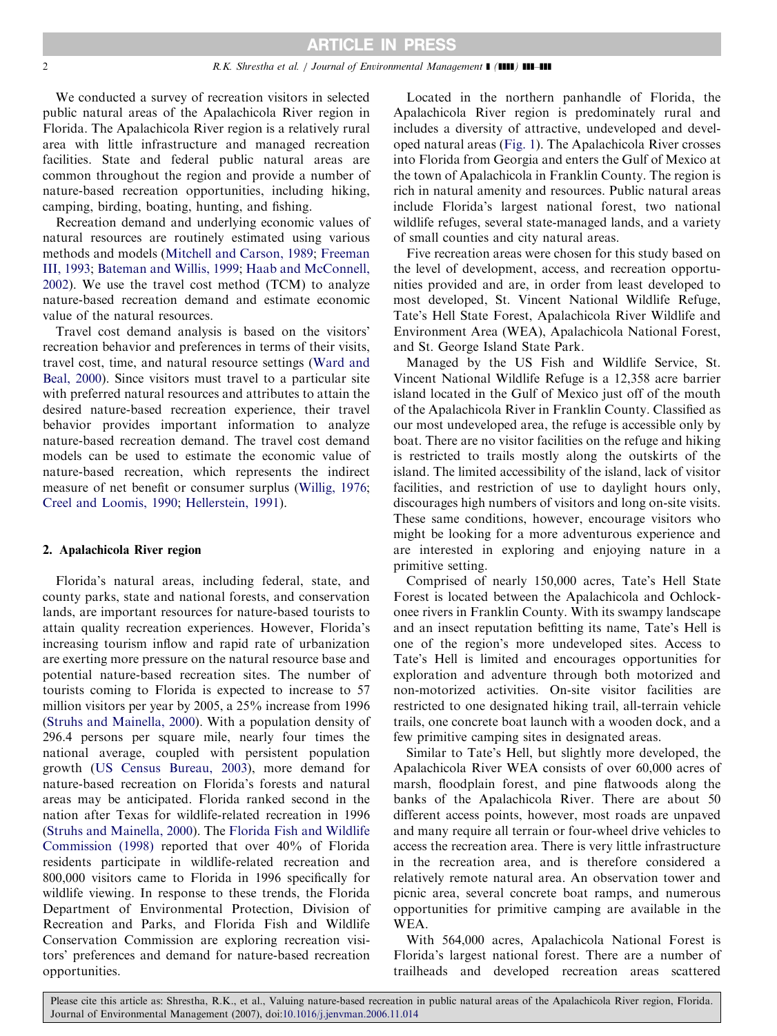We conducted a survey of recreation visitors in selected public natural areas of the Apalachicola River region in Florida. The Apalachicola River region is a relatively rural area with little infrastructure and managed recreation facilities. State and federal public natural areas are common throughout the region and provide a number of nature-based recreation opportunities, including hiking, camping, birding, boating, hunting, and fishing.

Recreation demand and underlying economic values of natural resources are routinely estimated using various methods and models ([Mitchell and Carson, 1989](#page-8-0); [Freeman](#page-8-0) [III, 1993](#page-8-0); [Bateman and Willis, 1999](#page-8-0); [Haab and McConnell,](#page-8-0) [2002\)](#page-8-0). We use the travel cost method (TCM) to analyze nature-based recreation demand and estimate economic value of the natural resources.

Travel cost demand analysis is based on the visitors' recreation behavior and preferences in terms of their visits, travel cost, time, and natural resource settings [\(Ward and](#page-8-0) [Beal, 2000](#page-8-0)). Since visitors must travel to a particular site with preferred natural resources and attributes to attain the desired nature-based recreation experience, their travel behavior provides important information to analyze nature-based recreation demand. The travel cost demand models can be used to estimate the economic value of nature-based recreation, which represents the indirect measure of net benefit or consumer surplus [\(Willig, 1976](#page-8-0); [Creel and Loomis, 1990](#page-8-0); [Hellerstein, 1991](#page-8-0)).

## 2. Apalachicola River region

Florida's natural areas, including federal, state, and county parks, state and national forests, and conservation lands, are important resources for nature-based tourists to attain quality recreation experiences. However, Florida's increasing tourism inflow and rapid rate of urbanization are exerting more pressure on the natural resource base and potential nature-based recreation sites. The number of tourists coming to Florida is expected to increase to 57 million visitors per year by 2005, a 25% increase from 1996 [\(Struhs and Mainella, 2000\)](#page-8-0). With a population density of 296.4 persons per square mile, nearly four times the national average, coupled with persistent population growth ([US Census Bureau, 2003\)](#page-8-0), more demand for nature-based recreation on Florida's forests and natural areas may be anticipated. Florida ranked second in the nation after Texas for wildlife-related recreation in 1996 [\(Struhs and Mainella, 2000\)](#page-8-0). The [Florida Fish and Wildlife](#page-8-0) [Commission \(1998\)](#page-8-0) reported that over 40% of Florida residents participate in wildlife-related recreation and 800,000 visitors came to Florida in 1996 specifically for wildlife viewing. In response to these trends, the Florida Department of Environmental Protection, Division of Recreation and Parks, and Florida Fish and Wildlife Conservation Commission are exploring recreation visitors' preferences and demand for nature-based recreation opportunities.

Located in the northern panhandle of Florida, the Apalachicola River region is predominately rural and includes a diversity of attractive, undeveloped and developed natural areas [\(Fig. 1\)](#page-2-0). The Apalachicola River crosses into Florida from Georgia and enters the Gulf of Mexico at the town of Apalachicola in Franklin County. The region is rich in natural amenity and resources. Public natural areas include Florida's largest national forest, two national wildlife refuges, several state-managed lands, and a variety of small counties and city natural areas.

Five recreation areas were chosen for this study based on the level of development, access, and recreation opportunities provided and are, in order from least developed to most developed, St. Vincent National Wildlife Refuge, Tate's Hell State Forest, Apalachicola River Wildlife and Environment Area (WEA), Apalachicola National Forest, and St. George Island State Park.

Managed by the US Fish and Wildlife Service, St. Vincent National Wildlife Refuge is a 12,358 acre barrier island located in the Gulf of Mexico just off of the mouth of the Apalachicola River in Franklin County. Classified as our most undeveloped area, the refuge is accessible only by boat. There are no visitor facilities on the refuge and hiking is restricted to trails mostly along the outskirts of the island. The limited accessibility of the island, lack of visitor facilities, and restriction of use to daylight hours only, discourages high numbers of visitors and long on-site visits. These same conditions, however, encourage visitors who might be looking for a more adventurous experience and are interested in exploring and enjoying nature in a primitive setting.

Comprised of nearly 150,000 acres, Tate's Hell State Forest is located between the Apalachicola and Ochlockonee rivers in Franklin County. With its swampy landscape and an insect reputation befitting its name, Tate's Hell is one of the region's more undeveloped sites. Access to Tate's Hell is limited and encourages opportunities for exploration and adventure through both motorized and non-motorized activities. On-site visitor facilities are restricted to one designated hiking trail, all-terrain vehicle trails, one concrete boat launch with a wooden dock, and a few primitive camping sites in designated areas.

Similar to Tate's Hell, but slightly more developed, the Apalachicola River WEA consists of over 60,000 acres of marsh, floodplain forest, and pine flatwoods along the banks of the Apalachicola River. There are about 50 different access points, however, most roads are unpaved and many require all terrain or four-wheel drive vehicles to access the recreation area. There is very little infrastructure in the recreation area, and is therefore considered a relatively remote natural area. An observation tower and picnic area, several concrete boat ramps, and numerous opportunities for primitive camping are available in the WEA.

With 564,000 acres, Apalachicola National Forest is Florida's largest national forest. There are a number of trailheads and developed recreation areas scattered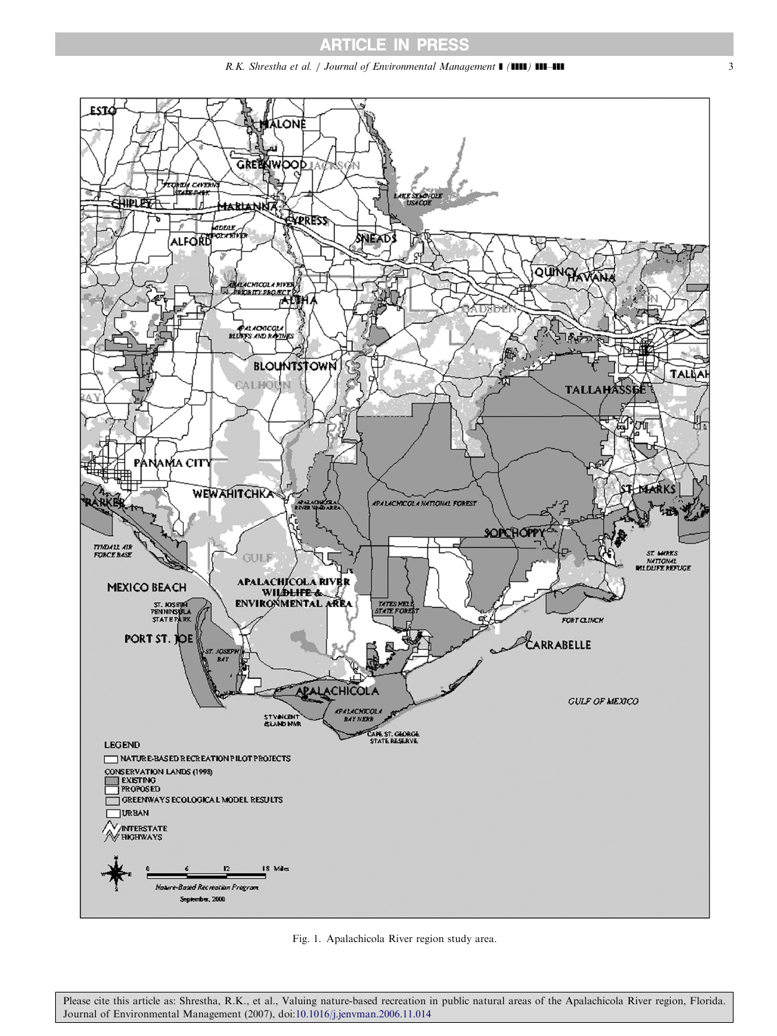R.K. Shrestha et al. / Journal of Environmental Management  $\blacksquare$  ( $\blacksquare\blacksquare$ )  $\blacksquare\blacksquare\blacksquare$  3

<span id="page-2-0"></span>

Fig. 1. Apalachicola River region study area.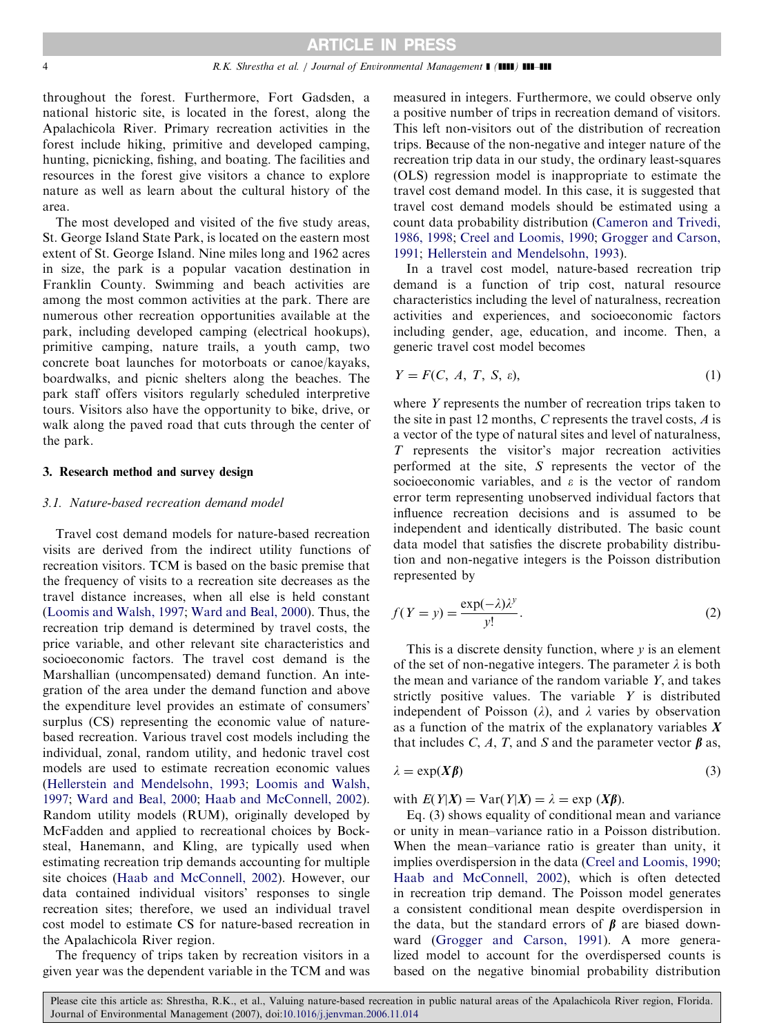throughout the forest. Furthermore, Fort Gadsden, a national historic site, is located in the forest, along the Apalachicola River. Primary recreation activities in the forest include hiking, primitive and developed camping, hunting, picnicking, fishing, and boating. The facilities and resources in the forest give visitors a chance to explore nature as well as learn about the cultural history of the area.

The most developed and visited of the five study areas, St. George Island State Park, is located on the eastern most extent of St. George Island. Nine miles long and 1962 acres in size, the park is a popular vacation destination in Franklin County. Swimming and beach activities are among the most common activities at the park. There are numerous other recreation opportunities available at the park, including developed camping (electrical hookups), primitive camping, nature trails, a youth camp, two concrete boat launches for motorboats or canoe/kayaks, boardwalks, and picnic shelters along the beaches. The park staff offers visitors regularly scheduled interpretive tours. Visitors also have the opportunity to bike, drive, or walk along the paved road that cuts through the center of the park.

# 3. Research method and survey design

## 3.1. Nature-based recreation demand model

Travel cost demand models for nature-based recreation visits are derived from the indirect utility functions of recreation visitors. TCM is based on the basic premise that the frequency of visits to a recreation site decreases as the travel distance increases, when all else is held constant [\(Loomis and Walsh, 1997](#page-8-0); [Ward and Beal, 2000](#page-8-0)). Thus, the recreation trip demand is determined by travel costs, the price variable, and other relevant site characteristics and socioeconomic factors. The travel cost demand is the Marshallian (uncompensated) demand function. An integration of the area under the demand function and above the expenditure level provides an estimate of consumers' surplus (CS) representing the economic value of naturebased recreation. Various travel cost models including the individual, zonal, random utility, and hedonic travel cost models are used to estimate recreation economic values [\(Hellerstein and Mendelsohn, 1993](#page-8-0); [Loomis and Walsh,](#page-8-0) [1997;](#page-8-0) [Ward and Beal, 2000;](#page-8-0) [Haab and McConnell, 2002\)](#page-8-0). Random utility models (RUM), originally developed by McFadden and applied to recreational choices by Bocksteal, Hanemann, and Kling, are typically used when estimating recreation trip demands accounting for multiple site choices ([Haab and McConnell, 2002\)](#page-8-0). However, our data contained individual visitors' responses to single recreation sites; therefore, we used an individual travel cost model to estimate CS for nature-based recreation in the Apalachicola River region.

The frequency of trips taken by recreation visitors in a given year was the dependent variable in the TCM and was measured in integers. Furthermore, we could observe only a positive number of trips in recreation demand of visitors. This left non-visitors out of the distribution of recreation trips. Because of the non-negative and integer nature of the recreation trip data in our study, the ordinary least-squares (OLS) regression model is inappropriate to estimate the travel cost demand model. In this case, it is suggested that travel cost demand models should be estimated using a count data probability distribution ([Cameron and Trivedi,](#page-8-0) [1986, 1998](#page-8-0); [Creel and Loomis, 1990;](#page-8-0) [Grogger and Carson,](#page-8-0) [1991;](#page-8-0) [Hellerstein and Mendelsohn, 1993\)](#page-8-0).

In a travel cost model, nature-based recreation trip demand is a function of trip cost, natural resource characteristics including the level of naturalness, recreation activities and experiences, and socioeconomic factors including gender, age, education, and income. Then, a generic travel cost model becomes

$$
Y = F(C, A, T, S, \varepsilon),\tag{1}
$$

where Y represents the number of recreation trips taken to the site in past 12 months,  $C$  represents the travel costs,  $\overline{A}$  is a vector of the type of natural sites and level of naturalness, T represents the visitor's major recreation activities performed at the site, S represents the vector of the socioeconomic variables, and  $\varepsilon$  is the vector of random error term representing unobserved individual factors that influence recreation decisions and is assumed to be independent and identically distributed. The basic count data model that satisfies the discrete probability distribution and non-negative integers is the Poisson distribution represented by

$$
f(Y = y) = \frac{\exp(-\lambda)\lambda^y}{y!}.
$$
 (2)

This is a discrete density function, where  $\nu$  is an element of the set of non-negative integers. The parameter  $\lambda$  is both the mean and variance of the random variable Y, and takes strictly positive values. The variable  $Y$  is distributed independent of Poisson  $(\lambda)$ , and  $\lambda$  varies by observation as a function of the matrix of the explanatory variables  $X$ that includes C, A, T, and S and the parameter vector  $\beta$  as,

$$
\lambda = \exp(X\beta) \tag{3}
$$

with  $E(Y|X) = \text{Var}(Y|X) = \lambda = \exp(X\beta).$ 

Eq. (3) shows equality of conditional mean and variance or unity in mean–variance ratio in a Poisson distribution. When the mean–variance ratio is greater than unity, it implies overdispersion in the data [\(Creel and Loomis, 1990](#page-8-0); [Haab and McConnell, 2002](#page-8-0)), which is often detected in recreation trip demand. The Poisson model generates a consistent conditional mean despite overdispersion in the data, but the standard errors of  $\beta$  are biased downward [\(Grogger and Carson, 1991\)](#page-8-0). A more generalized model to account for the overdispersed counts is based on the negative binomial probability distribution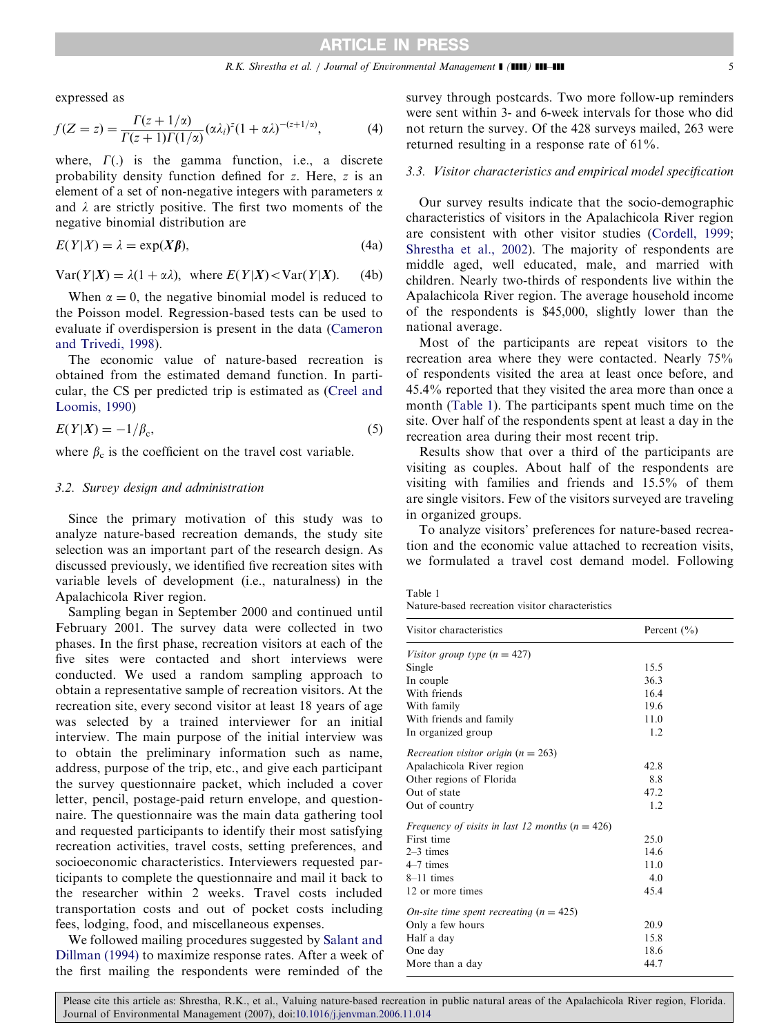expressed as

$$
f(Z=z) = \frac{\Gamma(z+1/\alpha)}{\Gamma(z+1)\Gamma(1/\alpha)} (\alpha \lambda_i)^z (1+\alpha \lambda)^{-(z+1/\alpha)},
$$
 (4)

where,  $\Gamma(.)$  is the gamma function, i.e., a discrete probability density function defined for z. Here, z is an element of a set of non-negative integers with parameters  $\alpha$ and  $\lambda$  are strictly positive. The first two moments of the negative binomial distribution are

$$
E(Y|X) = \lambda = \exp(X\beta),\tag{4a}
$$

$$
Var(Y|X) = \lambda(1 + \alpha \lambda), \text{ where } E(Y|X) < Var(Y|X). \tag{4b}
$$

When  $\alpha = 0$ , the negative binomial model is reduced to the Poisson model. Regression-based tests can be used to evaluate if overdispersion is present in the data ([Cameron](#page-8-0) [and Trivedi, 1998\)](#page-8-0).

The economic value of nature-based recreation is obtained from the estimated demand function. In particular, the CS per predicted trip is estimated as ([Creel and](#page-8-0) [Loomis, 1990\)](#page-8-0)

$$
E(Y|X) = -1/\beta_c,\tag{5}
$$

where  $\beta_c$  is the coefficient on the travel cost variable.

# 3.2. Survey design and administration

Since the primary motivation of this study was to analyze nature-based recreation demands, the study site selection was an important part of the research design. As discussed previously, we identified five recreation sites with variable levels of development (i.e., naturalness) in the Apalachicola River region.

Sampling began in September 2000 and continued until February 2001. The survey data were collected in two phases. In the first phase, recreation visitors at each of the five sites were contacted and short interviews were conducted. We used a random sampling approach to obtain a representative sample of recreation visitors. At the recreation site, every second visitor at least 18 years of age was selected by a trained interviewer for an initial interview. The main purpose of the initial interview was to obtain the preliminary information such as name, address, purpose of the trip, etc., and give each participant the survey questionnaire packet, which included a cover letter, pencil, postage-paid return envelope, and questionnaire. The questionnaire was the main data gathering tool and requested participants to identify their most satisfying recreation activities, travel costs, setting preferences, and socioeconomic characteristics. Interviewers requested participants to complete the questionnaire and mail it back to the researcher within 2 weeks. Travel costs included transportation costs and out of pocket costs including fees, lodging, food, and miscellaneous expenses.

We followed mailing procedures suggested by [Salant and](#page-8-0) [Dillman \(1994\)](#page-8-0) to maximize response rates. After a week of the first mailing the respondents were reminded of the survey through postcards. Two more follow-up reminders were sent within 3- and 6-week intervals for those who did not return the survey. Of the 428 surveys mailed, 263 were returned resulting in a response rate of 61%.

# 3.3. Visitor characteristics and empirical model specification

Our survey results indicate that the socio-demographic characteristics of visitors in the Apalachicola River region are consistent with other visitor studies [\(Cordell, 1999;](#page-8-0) [Shrestha et al., 2002\)](#page-8-0). The majority of respondents are middle aged, well educated, male, and married with children. Nearly two-thirds of respondents live within the Apalachicola River region. The average household income of the respondents is \$45,000, slightly lower than the national average.

Most of the participants are repeat visitors to the recreation area where they were contacted. Nearly 75% of respondents visited the area at least once before, and 45.4% reported that they visited the area more than once a month (Table 1). The participants spent much time on the site. Over half of the respondents spent at least a day in the recreation area during their most recent trip.

Results show that over a third of the participants are visiting as couples. About half of the respondents are visiting with families and friends and 15.5% of them are single visitors. Few of the visitors surveyed are traveling in organized groups.

To analyze visitors' preferences for nature-based recreation and the economic value attached to recreation visits, we formulated a travel cost demand model. Following

Table 1

Nature-based recreation visitor characteristics

| Visitor characteristics                             | Percent $(\% )$ |
|-----------------------------------------------------|-----------------|
| Visitor group type $(n = 427)$                      |                 |
| Single                                              | 15.5            |
| In couple                                           | 36.3            |
| With friends                                        | 16.4            |
| With family                                         | 19.6            |
| With friends and family                             | 11.0            |
| In organized group                                  | 1.2             |
| <i>Recreation visitor origin</i> ( $n = 263$ )      |                 |
| Apalachicola River region                           | 42.8            |
| Other regions of Florida                            | 8.8             |
| Out of state                                        | 47.2            |
| Out of country                                      | 1.2             |
| Frequency of visits in last 12 months ( $n = 426$ ) |                 |
| First time                                          | 25.0            |
| $2-3$ times                                         | 14.6            |
| $4-7$ times                                         | 11.0            |
| $8-11$ times                                        | 4.0             |
| 12 or more times                                    | 45.4            |
| On-site time spent recreating $(n = 425)$           |                 |
| Only a few hours                                    | 20.9            |
| Half a day                                          | 15.8            |
| One day                                             | 18.6            |
| More than a day                                     | 44.7            |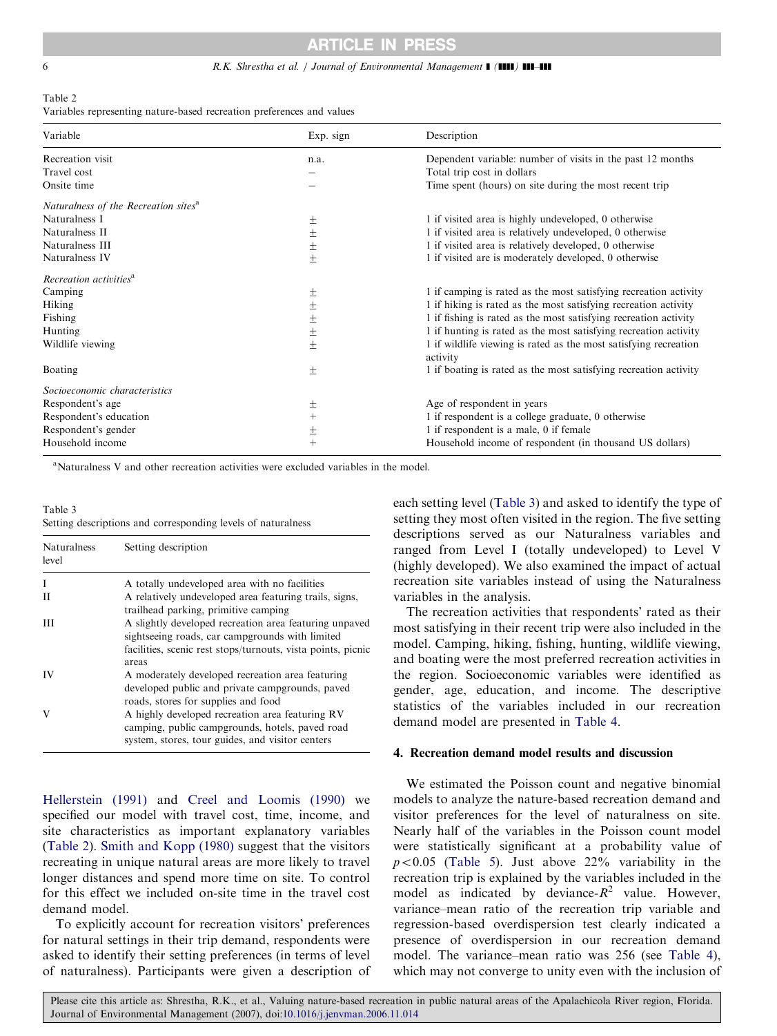#### 6 **R.K.** Shrestha et al. / Journal of Environmental Management **[4011] [111-111**

| Variables representing nature-based recreation preferences and values |  |  |  |
|-----------------------------------------------------------------------|--|--|--|
|                                                                       |  |  |  |

| Variable                                         | Exp. sign | Description                                                                  |
|--------------------------------------------------|-----------|------------------------------------------------------------------------------|
| Recreation visit                                 | n.a.      | Dependent variable: number of visits in the past 12 months                   |
| Travel cost                                      |           | Total trip cost in dollars                                                   |
| Onsite time                                      |           | Time spent (hours) on site during the most recent trip                       |
| Naturalness of the Recreation sites <sup>a</sup> |           |                                                                              |
| Naturalness I                                    | 土         | 1 if visited area is highly undeveloped, 0 otherwise                         |
| Naturalness II                                   | $\pm$     | 1 if visited area is relatively undeveloped, 0 otherwise                     |
| Naturalness III                                  | $\pm$     | 1 if visited area is relatively developed, 0 otherwise                       |
| Naturalness IV                                   | $\pm$     | 1 if visited are is moderately developed, 0 otherwise                        |
| Recreation activities <sup>a</sup>               |           |                                                                              |
| Camping                                          | $\pm$     | 1 if camping is rated as the most satisfying recreation activity             |
| Hiking                                           |           | 1 if hiking is rated as the most satisfying recreation activity              |
| Fishing                                          | 土土土       | 1 if fishing is rated as the most satisfying recreation activity             |
| Hunting                                          |           | 1 if hunting is rated as the most satisfying recreation activity             |
| Wildlife viewing                                 | $\pm$     | 1 if wildlife viewing is rated as the most satisfying recreation<br>activity |
| Boating                                          | $\pm$     | 1 if boating is rated as the most satisfying recreation activity             |
| Socioeconomic characteristics                    |           |                                                                              |
| Respondent's age                                 | $\pm$     | Age of respondent in years                                                   |
| Respondent's education                           | $^{+}$    | 1 if respondent is a college graduate, 0 otherwise                           |
| Respondent's gender                              | $\pm$     | 1 if respondent is a male, 0 if female                                       |
| Household income                                 | $+$       | Household income of respondent (in thousand US dollars)                      |

<sup>a</sup>Naturalness V and other recreation activities were excluded variables in the model.

Table 3 Setting descriptions and corresponding levels of naturalness

| Naturalness<br>level | Setting description                                                                                                                                                                |
|----------------------|------------------------------------------------------------------------------------------------------------------------------------------------------------------------------------|
| T                    | A totally undeveloped area with no facilities                                                                                                                                      |
| H                    | A relatively undeveloped area featuring trails, signs,<br>trailhead parking, primitive camping                                                                                     |
| III                  | A slightly developed recreation area featuring unpaved<br>sightseeing roads, car campgrounds with limited<br>facilities, scenic rest stops/turnouts, vista points, picnic<br>areas |
| IV                   | A moderately developed recreation area featuring<br>developed public and private campgrounds, paved<br>roads, stores for supplies and food                                         |
| V                    | A highly developed recreation area featuring RV<br>camping, public campgrounds, hotels, paved road<br>system, stores, tour guides, and visitor centers                             |

[Hellerstein \(1991\)](#page-8-0) and [Creel and Loomis \(1990\)](#page-8-0) we specified our model with travel cost, time, income, and site characteristics as important explanatory variables (Table 2). [Smith and Kopp \(1980\)](#page-8-0) suggest that the visitors recreating in unique natural areas are more likely to travel longer distances and spend more time on site. To control for this effect we included on-site time in the travel cost demand model.

To explicitly account for recreation visitors' preferences for natural settings in their trip demand, respondents were asked to identify their setting preferences (in terms of level of naturalness). Participants were given a description of each setting level (Table 3) and asked to identify the type of setting they most often visited in the region. The five setting descriptions served as our Naturalness variables and ranged from Level I (totally undeveloped) to Level V (highly developed). We also examined the impact of actual recreation site variables instead of using the Naturalness variables in the analysis.

The recreation activities that respondents' rated as their most satisfying in their recent trip were also included in the model. Camping, hiking, fishing, hunting, wildlife viewing, and boating were the most preferred recreation activities in the region. Socioeconomic variables were identified as gender, age, education, and income. The descriptive statistics of the variables included in our recreation demand model are presented in [Table 4](#page-6-0).

## 4. Recreation demand model results and discussion

We estimated the Poisson count and negative binomial models to analyze the nature-based recreation demand and visitor preferences for the level of naturalness on site. Nearly half of the variables in the Poisson count model were statistically significant at a probability value of  $p < 0.05$  [\(Table 5\)](#page-6-0). Just above 22% variability in the recreation trip is explained by the variables included in the model as indicated by deviance- $R^2$  value. However, variance–mean ratio of the recreation trip variable and regression-based overdispersion test clearly indicated a presence of overdispersion in our recreation demand model. The variance–mean ratio was 256 (see [Table 4\)](#page-6-0), which may not converge to unity even with the inclusion of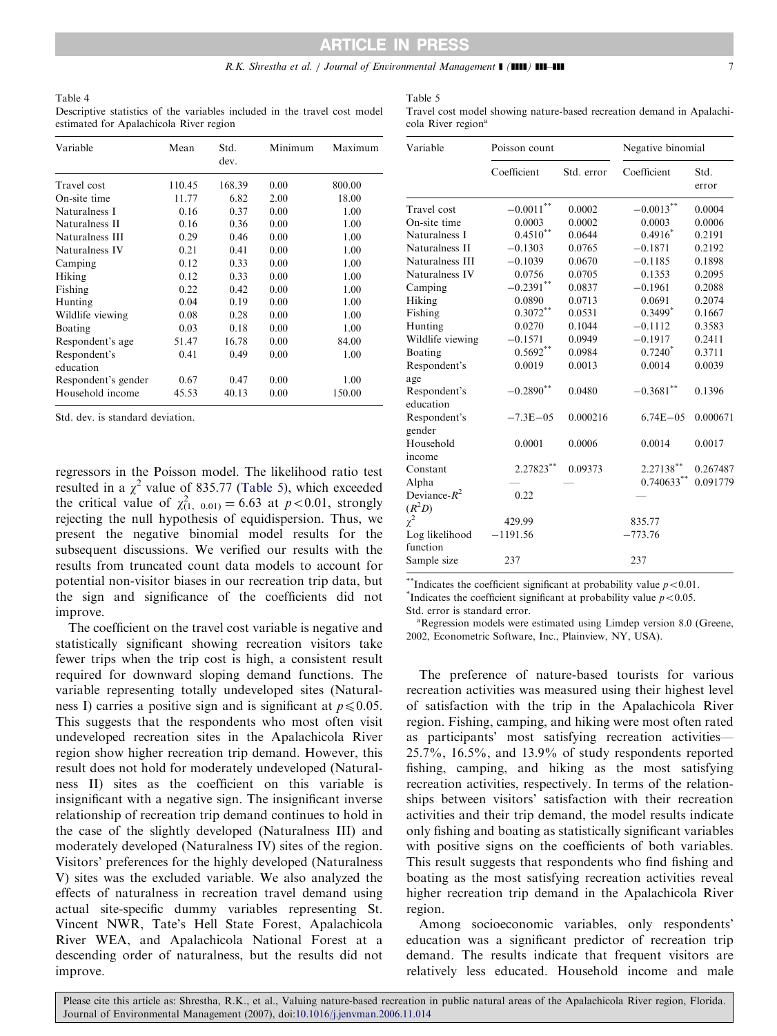#### <span id="page-6-0"></span>Table 4 Descriptive statistics of the variables included in the travel cost model estimated for Apalachicola River region

## Variable Mean Std. dev. Minimum Maximum Travel cost 110.45 168.39 0.00 800.00 On-site time 11.77 6.82 2.00 18.00 Naturalness I 0.16 0.37 0.00 1.00 Naturalness II 0.16 0.36 0.00 1.00 Naturalness III  $0.29$   $0.46$   $0.00$   $1.00$ Naturalness IV 0.21 0.41 0.00 1.00 Camping 0.12 0.33 0.00 1.00 Hiking 0.12 0.33 0.00 1.00 Fishing 0.22 0.42 0.00 1.00 Hunting 0.04 0.19 0.00 1.00 Wildlife viewing 0.08 0.28 0.00 1.00 Boating 0.03 0.18 0.00 1.00 Respondent's age 51.47 16.78 0.00 84.00 Respondent's education 0.41 0.49 0.00 1.00 Respondent's gender 0.67 0.47 0.00 1.00 Household income 45.53 40.13 0.00 150.00

Std. dev. is standard deviation.

regressors in the Poisson model. The likelihood ratio test resulted in a  $\chi^2$  value of 835.77 (Table 5), which exceeded the critical value of  $\chi^2_{(1, 0.01)} = 6.63$  at  $p < 0.01$ , strongly rejecting the null hypothesis of equidispersion. Thus, we present the negative binomial model results for the subsequent discussions. We verified our results with the results from truncated count data models to account for potential non-visitor biases in our recreation trip data, but the sign and significance of the coefficients did not improve.

The coefficient on the travel cost variable is negative and statistically significant showing recreation visitors take fewer trips when the trip cost is high, a consistent result required for downward sloping demand functions. The variable representing totally undeveloped sites (Naturalness I) carries a positive sign and is significant at  $p \le 0.05$ . This suggests that the respondents who most often visit undeveloped recreation sites in the Apalachicola River region show higher recreation trip demand. However, this result does not hold for moderately undeveloped (Naturalness II) sites as the coefficient on this variable is insignificant with a negative sign. The insignificant inverse relationship of recreation trip demand continues to hold in the case of the slightly developed (Naturalness III) and moderately developed (Naturalness IV) sites of the region. Visitors' preferences for the highly developed (Naturalness V) sites was the excluded variable. We also analyzed the effects of naturalness in recreation travel demand using actual site-specific dummy variables representing St. Vincent NWR, Tate's Hell State Forest, Apalachicola River WEA, and Apalachicola National Forest at a descending order of naturalness, but the results did not improve.

Table 5

Travel cost model showing nature-based recreation demand in Apalachicola River region<sup>a</sup>

| Variable                    | Poisson count           |            | Negative binomial     |               |  |
|-----------------------------|-------------------------|------------|-----------------------|---------------|--|
|                             | Coefficient             | Std. error | Coefficient           | Std.<br>error |  |
| Travel cost                 | $-0.0011***$            | 0.0002     | $-0.0013***$          | 0.0004        |  |
| On-site time                | 0.0003                  | 0.0002     | 0.0003                | 0.0006        |  |
| Naturalness I               | $0.4510***$             | 0.0644     | $0.4916*$             | 0.2191        |  |
| Naturalness II              | $-0.1303$               | 0.0765     | $-0.1871$             | 0.2192        |  |
| Naturalness III             | $-0.1039$               | 0.0670     | $-0.1185$             | 0.1898        |  |
| Naturalness IV              | 0.0756                  | 0.0705     | 0.1353                | 0.2095        |  |
| Camping                     | $-0.2391$ <sup>*</sup>  | 0.0837     | $-0.1961$             | 0.2088        |  |
| Hiking                      | 0.0890                  | 0.0713     | 0.0691                | 0.2074        |  |
| Fishing                     | $0.3072***$             | 0.0531     | $0.3499$ <sup>*</sup> | 0.1667        |  |
| Hunting                     | 0.0270                  | 0.1044     | $-0.1112$             | 0.3583        |  |
| Wildlife viewing            | $-0.1571$               | 0.0949     | $-0.1917$             | 0.2411        |  |
| Boating                     | $0.5692**$              | 0.0984     | $0.7240*$             | 0.3711        |  |
| Respondent's                | 0.0019                  | 0.0013     | 0.0014                | 0.0039        |  |
| age                         |                         |            |                       |               |  |
| Respondent's<br>education   | $-0.2890$ <sup>**</sup> | 0.0480     | $-0.3681$ **          | 0.1396        |  |
| Respondent's<br>gender      | $-7.3E - 0.5$           | 0.000216   | $6.74E - 0.5$         | 0.000671      |  |
| Household<br>income         | 0.0001                  | 0.0006     | 0.0014                | 0.0017        |  |
| Constant                    | 2.27823**               | 0.09373    | 2.27138**             | 0.267487      |  |
| Alpha                       |                         |            | $0.740633***$         | 0.091779      |  |
| Deviance- $R^2$<br>$(R^2D)$ | 0.22                    |            |                       |               |  |
| $\chi^2$                    | 429.99                  |            | 835.77                |               |  |
| Log likelihood<br>function  | $-1191.56$              |            | $-773.76$             |               |  |
| Sample size                 | 237                     |            | 237                   |               |  |

\*\*Indicates the coefficient significant at probability value  $p < 0.01$ . <sup>\*</sup>Indicates the coefficient significant at probability value  $p < 0.05$ . Std. error is standard error.

Regression models were estimated using Limdep version 8.0 (Greene, 2002, Econometric Software, Inc., Plainview, NY, USA).

The preference of nature-based tourists for various recreation activities was measured using their highest level of satisfaction with the trip in the Apalachicola River region. Fishing, camping, and hiking were most often rated as participants' most satisfying recreation activities— 25.7%, 16.5%, and 13.9% of study respondents reported fishing, camping, and hiking as the most satisfying recreation activities, respectively. In terms of the relationships between visitors' satisfaction with their recreation activities and their trip demand, the model results indicate only fishing and boating as statistically significant variables with positive signs on the coefficients of both variables. This result suggests that respondents who find fishing and boating as the most satisfying recreation activities reveal higher recreation trip demand in the Apalachicola River region.

Among socioeconomic variables, only respondents' education was a significant predictor of recreation trip demand. The results indicate that frequent visitors are relatively less educated. Household income and male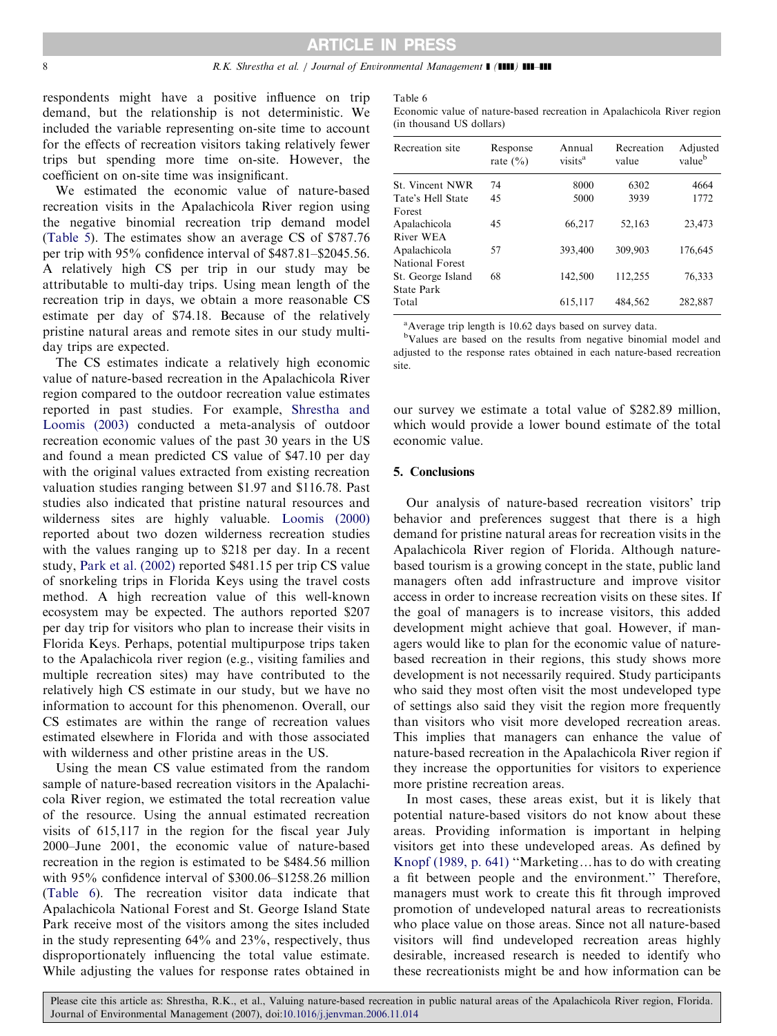respondents might have a positive influence on trip demand, but the relationship is not deterministic. We included the variable representing on-site time to account for the effects of recreation visitors taking relatively fewer trips but spending more time on-site. However, the coefficient on on-site time was insignificant.

We estimated the economic value of nature-based recreation visits in the Apalachicola River region using the negative binomial recreation trip demand model [\(Table 5](#page-6-0)). The estimates show an average CS of \$787.76 per trip with 95% confidence interval of \$487.81–\$2045.56. A relatively high CS per trip in our study may be attributable to multi-day trips. Using mean length of the recreation trip in days, we obtain a more reasonable CS estimate per day of \$74.18. Because of the relatively pristine natural areas and remote sites in our study multiday trips are expected.

The CS estimates indicate a relatively high economic value of nature-based recreation in the Apalachicola River region compared to the outdoor recreation value estimates reported in past studies. For example, [Shrestha and](#page-8-0) [Loomis \(2003\)](#page-8-0) conducted a meta-analysis of outdoor recreation economic values of the past 30 years in the US and found a mean predicted CS value of \$47.10 per day with the original values extracted from existing recreation valuation studies ranging between \$1.97 and \$116.78. Past studies also indicated that pristine natural resources and wilderness sites are highly valuable. [Loomis \(2000\)](#page-8-0) reported about two dozen wilderness recreation studies with the values ranging up to \$218 per day. In a recent study, [Park et al. \(2002\)](#page-8-0) reported \$481.15 per trip CS value of snorkeling trips in Florida Keys using the travel costs method. A high recreation value of this well-known ecosystem may be expected. The authors reported \$207 per day trip for visitors who plan to increase their visits in Florida Keys. Perhaps, potential multipurpose trips taken to the Apalachicola river region (e.g., visiting families and multiple recreation sites) may have contributed to the relatively high CS estimate in our study, but we have no information to account for this phenomenon. Overall, our CS estimates are within the range of recreation values estimated elsewhere in Florida and with those associated with wilderness and other pristine areas in the US.

Using the mean CS value estimated from the random sample of nature-based recreation visitors in the Apalachicola River region, we estimated the total recreation value of the resource. Using the annual estimated recreation visits of 615,117 in the region for the fiscal year July 2000–June 2001, the economic value of nature-based recreation in the region is estimated to be \$484.56 million with 95% confidence interval of \$300.06–\$1258.26 million (Table 6). The recreation visitor data indicate that Apalachicola National Forest and St. George Island State Park receive most of the visitors among the sites included in the study representing 64% and 23%, respectively, thus disproportionately influencing the total value estimate. While adjusting the values for response rates obtained in Table 6

Economic value of nature-based recreation in Apalachicola River region (in thousand US dollars)

| Recreation site                        | Response<br>rate $(\% )$ | Annual<br>visits <sup>a</sup> | Recreation<br>value | Adjusted<br>value <sup>b</sup> |
|----------------------------------------|--------------------------|-------------------------------|---------------------|--------------------------------|
| St. Vincent NWR                        | 74                       | 8000                          | 6302                | 4664                           |
| Tate's Hell State<br>Forest            | 45                       | 5000                          | 3939                | 1772                           |
| Apalachicola<br>River WEA              | 45                       | 66,217                        | 52,163              | 23,473                         |
| Apalachicola<br><b>National Forest</b> | 57                       | 393,400                       | 309.903             | 176,645                        |
| St. George Island<br>State Park        | 68                       | 142,500                       | 112,255             | 76,333                         |
| Total                                  |                          | 615,117                       | 484,562             | 282,887                        |

<sup>a</sup>Average trip length is 10.62 days based on survey data.

<sup>b</sup>Values are based on the results from negative binomial model and adjusted to the response rates obtained in each nature-based recreation site.

our survey we estimate a total value of \$282.89 million, which would provide a lower bound estimate of the total economic value.

## 5. Conclusions

Our analysis of nature-based recreation visitors' trip behavior and preferences suggest that there is a high demand for pristine natural areas for recreation visits in the Apalachicola River region of Florida. Although naturebased tourism is a growing concept in the state, public land managers often add infrastructure and improve visitor access in order to increase recreation visits on these sites. If the goal of managers is to increase visitors, this added development might achieve that goal. However, if managers would like to plan for the economic value of naturebased recreation in their regions, this study shows more development is not necessarily required. Study participants who said they most often visit the most undeveloped type of settings also said they visit the region more frequently than visitors who visit more developed recreation areas. This implies that managers can enhance the value of nature-based recreation in the Apalachicola River region if they increase the opportunities for visitors to experience more pristine recreation areas.

In most cases, these areas exist, but it is likely that potential nature-based visitors do not know about these areas. Providing information is important in helping visitors get into these undeveloped areas. As defined by [Knopf \(1989, p. 641\)](#page-8-0) "Marketing... has to do with creating a fit between people and the environment.'' Therefore, managers must work to create this fit through improved promotion of undeveloped natural areas to recreationists who place value on those areas. Since not all nature-based visitors will find undeveloped recreation areas highly desirable, increased research is needed to identify who these recreationists might be and how information can be